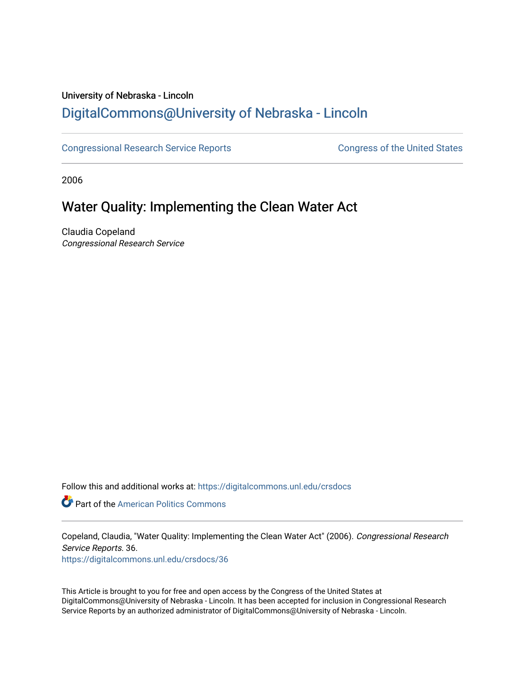### University of Nebraska - Lincoln [DigitalCommons@University of Nebraska - Lincoln](https://digitalcommons.unl.edu/)

[Congressional Research Service Reports](https://digitalcommons.unl.edu/crsdocs) **Congress of the United States** Congress of the United States

2006

## Water Quality: Implementing the Clean Water Act

Claudia Copeland Congressional Research Service

Follow this and additional works at: [https://digitalcommons.unl.edu/crsdocs](https://digitalcommons.unl.edu/crsdocs?utm_source=digitalcommons.unl.edu%2Fcrsdocs%2F36&utm_medium=PDF&utm_campaign=PDFCoverPages) 

**Part of the American Politics Commons** 

Copeland, Claudia, "Water Quality: Implementing the Clean Water Act" (2006). Congressional Research Service Reports. 36.

[https://digitalcommons.unl.edu/crsdocs/36](https://digitalcommons.unl.edu/crsdocs/36?utm_source=digitalcommons.unl.edu%2Fcrsdocs%2F36&utm_medium=PDF&utm_campaign=PDFCoverPages) 

This Article is brought to you for free and open access by the Congress of the United States at DigitalCommons@University of Nebraska - Lincoln. It has been accepted for inclusion in Congressional Research Service Reports by an authorized administrator of DigitalCommons@University of Nebraska - Lincoln.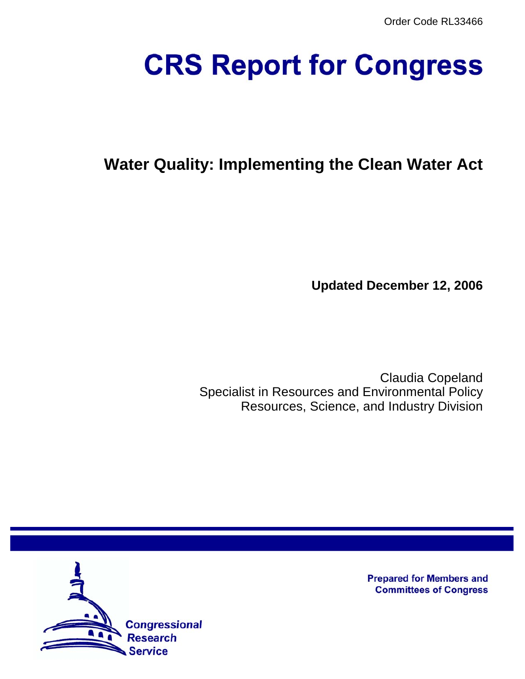Order Code RL33466

# **CRS Report for Congress**

# **Water Quality: Implementing the Clean Water Act**

**Updated December 12, 2006**

Claudia Copeland Specialist in Resources and Environmental Policy Resources, Science, and Industry Division



**Prepared for Members and Committees of Congress**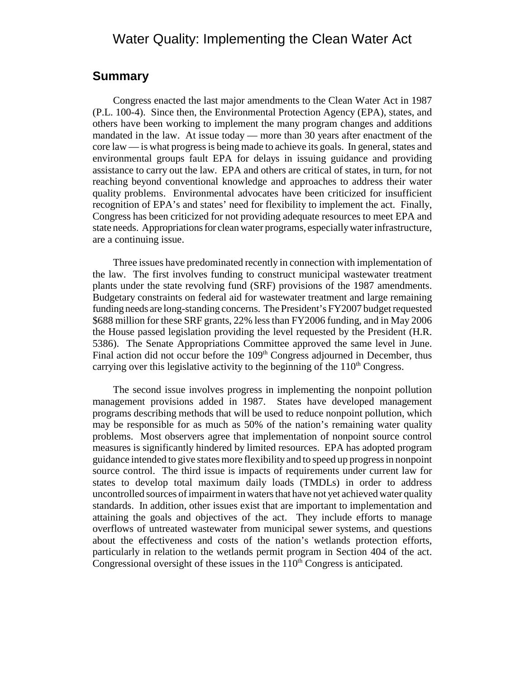#### Water Quality: Implementing the Clean Water Act

#### **Summary**

Congress enacted the last major amendments to the Clean Water Act in 1987 (P.L. 100-4). Since then, the Environmental Protection Agency (EPA), states, and others have been working to implement the many program changes and additions mandated in the law. At issue today — more than 30 years after enactment of the core law — is what progress is being made to achieve its goals. In general, states and environmental groups fault EPA for delays in issuing guidance and providing assistance to carry out the law. EPA and others are critical of states, in turn, for not reaching beyond conventional knowledge and approaches to address their water quality problems. Environmental advocates have been criticized for insufficient recognition of EPA's and states' need for flexibility to implement the act. Finally, Congress has been criticized for not providing adequate resources to meet EPA and state needs. Appropriations for clean water programs, especially water infrastructure, are a continuing issue.

Three issues have predominated recently in connection with implementation of the law. The first involves funding to construct municipal wastewater treatment plants under the state revolving fund (SRF) provisions of the 1987 amendments. Budgetary constraints on federal aid for wastewater treatment and large remaining funding needs are long-standing concerns. The President's FY2007 budget requested \$688 million for these SRF grants, 22% less than FY2006 funding, and in May 2006 the House passed legislation providing the level requested by the President (H.R. 5386). The Senate Appropriations Committee approved the same level in June. Final action did not occur before the 109<sup>th</sup> Congress adjourned in December, thus carrying over this legislative activity to the beginning of the  $110<sup>th</sup>$  Congress.

The second issue involves progress in implementing the nonpoint pollution management provisions added in 1987. States have developed management programs describing methods that will be used to reduce nonpoint pollution, which may be responsible for as much as 50% of the nation's remaining water quality problems. Most observers agree that implementation of nonpoint source control measures is significantly hindered by limited resources. EPA has adopted program guidance intended to give states more flexibility and to speed up progress in nonpoint source control. The third issue is impacts of requirements under current law for states to develop total maximum daily loads (TMDLs) in order to address uncontrolled sources of impairment in waters that have not yet achieved water quality standards. In addition, other issues exist that are important to implementation and attaining the goals and objectives of the act. They include efforts to manage overflows of untreated wastewater from municipal sewer systems, and questions about the effectiveness and costs of the nation's wetlands protection efforts, particularly in relation to the wetlands permit program in Section 404 of the act. Congressional oversight of these issues in the  $110<sup>th</sup>$  Congress is anticipated.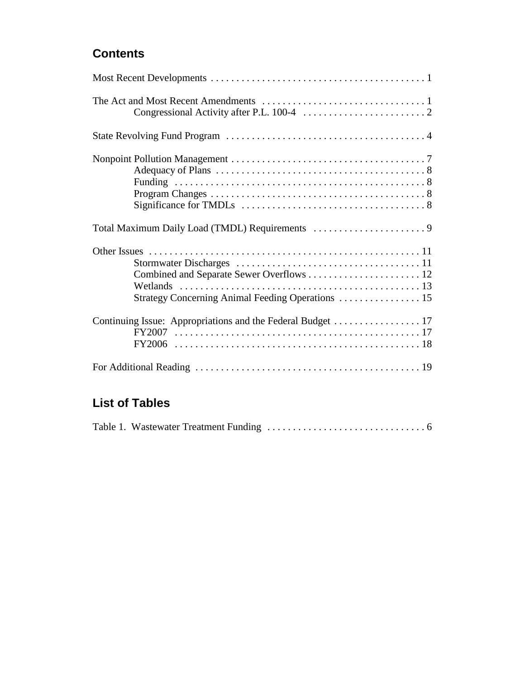### **Contents**

| Strategy Concerning Animal Feeding Operations  15 |
|---------------------------------------------------|
|                                                   |
|                                                   |

## **List of Tables**

|--|--|--|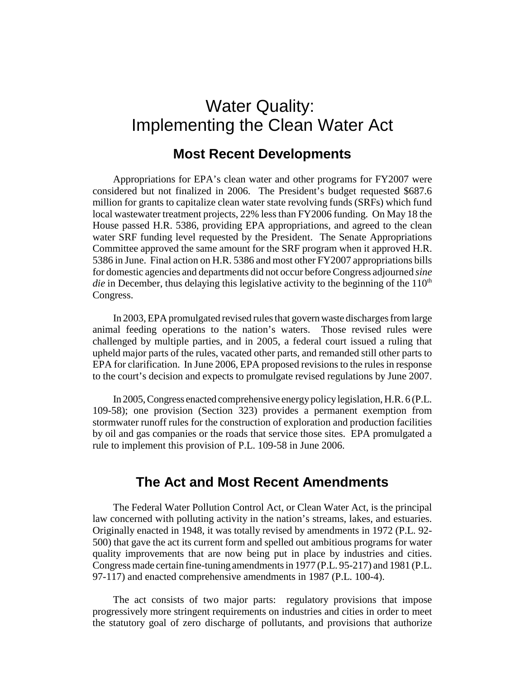# Water Quality: Implementing the Clean Water Act

#### **Most Recent Developments**

Appropriations for EPA's clean water and other programs for FY2007 were considered but not finalized in 2006. The President's budget requested \$687.6 million for grants to capitalize clean water state revolving funds (SRFs) which fund local wastewater treatment projects, 22% less than FY2006 funding. On May 18 the House passed H.R. 5386, providing EPA appropriations, and agreed to the clean water SRF funding level requested by the President. The Senate Appropriations Committee approved the same amount for the SRF program when it approved H.R. 5386 in June. Final action on H.R. 5386 and most other FY2007 appropriations bills for domestic agencies and departments did not occur before Congress adjourned *sine die* in December, thus delaying this legislative activity to the beginning of the  $110<sup>th</sup>$ Congress.

In 2003, EPA promulgated revised rules that govern waste discharges from large animal feeding operations to the nation's waters. Those revised rules were challenged by multiple parties, and in 2005, a federal court issued a ruling that upheld major parts of the rules, vacated other parts, and remanded still other parts to EPA for clarification. In June 2006, EPA proposed revisions to the rules in response to the court's decision and expects to promulgate revised regulations by June 2007.

In 2005, Congress enacted comprehensive energy policy legislation, H.R. 6 (P.L. 109-58); one provision (Section 323) provides a permanent exemption from stormwater runoff rules for the construction of exploration and production facilities by oil and gas companies or the roads that service those sites. EPA promulgated a rule to implement this provision of P.L. 109-58 in June 2006.

#### **The Act and Most Recent Amendments**

The Federal Water Pollution Control Act, or Clean Water Act, is the principal law concerned with polluting activity in the nation's streams, lakes, and estuaries. Originally enacted in 1948, it was totally revised by amendments in 1972 (P.L. 92- 500) that gave the act its current form and spelled out ambitious programs for water quality improvements that are now being put in place by industries and cities. Congress made certain fine-tuning amendments in 1977 (P.L. 95-217) and 1981 (P.L. 97-117) and enacted comprehensive amendments in 1987 (P.L. 100-4).

The act consists of two major parts: regulatory provisions that impose progressively more stringent requirements on industries and cities in order to meet the statutory goal of zero discharge of pollutants, and provisions that authorize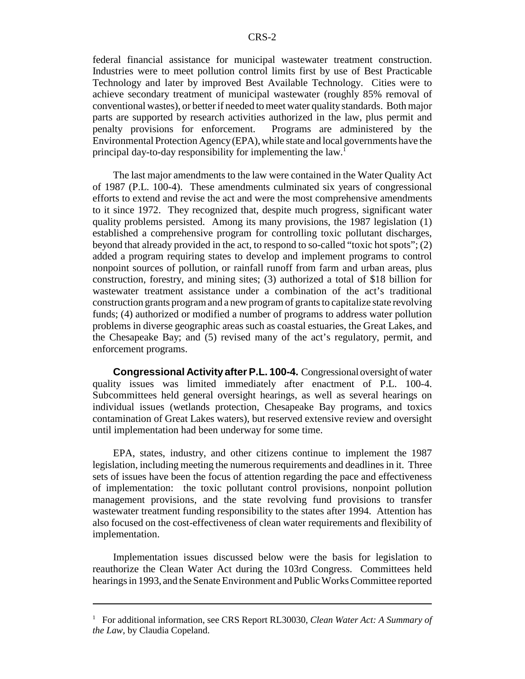federal financial assistance for municipal wastewater treatment construction. Industries were to meet pollution control limits first by use of Best Practicable Technology and later by improved Best Available Technology. Cities were to achieve secondary treatment of municipal wastewater (roughly 85% removal of conventional wastes), or better if needed to meet water quality standards. Both major parts are supported by research activities authorized in the law, plus permit and penalty provisions for enforcement. Programs are administered by the Environmental Protection Agency (EPA), while state and local governments have the principal day-to-day responsibility for implementing the law.<sup>1</sup>

The last major amendments to the law were contained in the Water Quality Act of 1987 (P.L. 100-4). These amendments culminated six years of congressional efforts to extend and revise the act and were the most comprehensive amendments to it since 1972. They recognized that, despite much progress, significant water quality problems persisted. Among its many provisions, the 1987 legislation (1) established a comprehensive program for controlling toxic pollutant discharges, beyond that already provided in the act, to respond to so-called "toxic hot spots"; (2) added a program requiring states to develop and implement programs to control nonpoint sources of pollution, or rainfall runoff from farm and urban areas, plus construction, forestry, and mining sites; (3) authorized a total of \$18 billion for wastewater treatment assistance under a combination of the act's traditional construction grants program and a new program of grants to capitalize state revolving funds; (4) authorized or modified a number of programs to address water pollution problems in diverse geographic areas such as coastal estuaries, the Great Lakes, and the Chesapeake Bay; and (5) revised many of the act's regulatory, permit, and enforcement programs.

**Congressional Activity after P.L. 100-4.** Congressional oversight of water quality issues was limited immediately after enactment of P.L. 100-4. Subcommittees held general oversight hearings, as well as several hearings on individual issues (wetlands protection, Chesapeake Bay programs, and toxics contamination of Great Lakes waters), but reserved extensive review and oversight until implementation had been underway for some time.

EPA, states, industry, and other citizens continue to implement the 1987 legislation, including meeting the numerous requirements and deadlines in it. Three sets of issues have been the focus of attention regarding the pace and effectiveness of implementation: the toxic pollutant control provisions, nonpoint pollution management provisions, and the state revolving fund provisions to transfer wastewater treatment funding responsibility to the states after 1994. Attention has also focused on the cost-effectiveness of clean water requirements and flexibility of implementation.

Implementation issues discussed below were the basis for legislation to reauthorize the Clean Water Act during the 103rd Congress. Committees held hearings in 1993, and the Senate Environment and Public Works Committee reported

<sup>&</sup>lt;sup>1</sup> For additional information, see CRS Report RL30030, *Clean Water Act: A Summary of the Law*, by Claudia Copeland.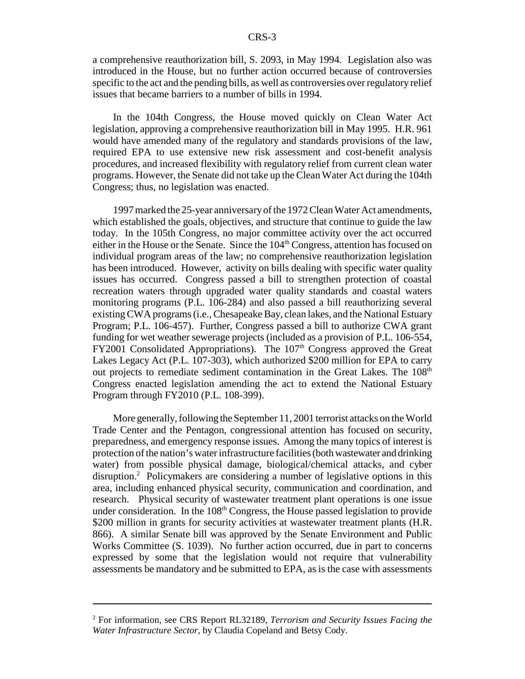a comprehensive reauthorization bill, S. 2093, in May 1994. Legislation also was introduced in the House, but no further action occurred because of controversies specific to the act and the pending bills, as well as controversies over regulatory relief issues that became barriers to a number of bills in 1994.

In the 104th Congress, the House moved quickly on Clean Water Act legislation, approving a comprehensive reauthorization bill in May 1995. H.R. 961 would have amended many of the regulatory and standards provisions of the law, required EPA to use extensive new risk assessment and cost-benefit analysis procedures, and increased flexibility with regulatory relief from current clean water programs. However, the Senate did not take up the Clean Water Act during the 104th Congress; thus, no legislation was enacted.

1997 marked the 25-year anniversary of the 1972 Clean Water Act amendments, which established the goals, objectives, and structure that continue to guide the law today. In the 105th Congress, no major committee activity over the act occurred either in the House or the Senate. Since the  $104<sup>th</sup>$  Congress, attention has focused on individual program areas of the law; no comprehensive reauthorization legislation has been introduced. However, activity on bills dealing with specific water quality issues has occurred. Congress passed a bill to strengthen protection of coastal recreation waters through upgraded water quality standards and coastal waters monitoring programs (P.L. 106-284) and also passed a bill reauthorizing several existing CWA programs (i.e., Chesapeake Bay, clean lakes, and the National Estuary Program; P.L. 106-457). Further, Congress passed a bill to authorize CWA grant funding for wet weather sewerage projects (included as a provision of P.L. 106-554,  $FY2001$  Consolidated Appropriations). The  $107<sup>th</sup>$  Congress approved the Great Lakes Legacy Act (P.L. 107-303), which authorized \$200 million for EPA to carry out projects to remediate sediment contamination in the Great Lakes. The 108<sup>th</sup> Congress enacted legislation amending the act to extend the National Estuary Program through FY2010 (P.L. 108-399).

More generally, following the September 11, 2001 terrorist attacks on the World Trade Center and the Pentagon, congressional attention has focused on security, preparedness, and emergency response issues. Among the many topics of interest is protection of the nation's water infrastructure facilities (both wastewater and drinking water) from possible physical damage, biological/chemical attacks, and cyber disruption.<sup>2</sup> Policymakers are considering a number of legislative options in this area, including enhanced physical security, communication and coordination, and research. Physical security of wastewater treatment plant operations is one issue under consideration. In the  $108<sup>th</sup>$  Congress, the House passed legislation to provide \$200 million in grants for security activities at wastewater treatment plants (H.R. 866). A similar Senate bill was approved by the Senate Environment and Public Works Committee (S. 1039). No further action occurred, due in part to concerns expressed by some that the legislation would not require that vulnerability assessments be mandatory and be submitted to EPA, as is the case with assessments

<sup>2</sup> For information, see CRS Report RL32189, *Terrorism and Security Issues Facing the Water Infrastructure Sector*, by Claudia Copeland and Betsy Cody.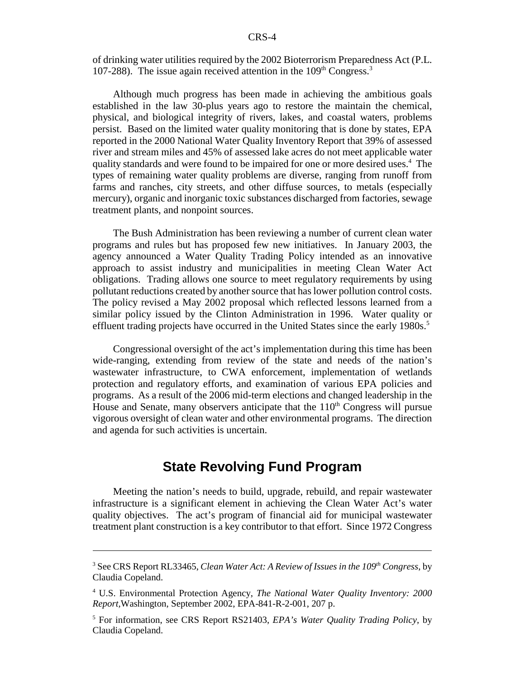of drinking water utilities required by the 2002 Bioterrorism Preparedness Act (P.L. 107-288). The issue again received attention in the  $109<sup>th</sup> Congress.<sup>3</sup>$ 

Although much progress has been made in achieving the ambitious goals established in the law 30-plus years ago to restore the maintain the chemical, physical, and biological integrity of rivers, lakes, and coastal waters, problems persist. Based on the limited water quality monitoring that is done by states, EPA reported in the 2000 National Water Quality Inventory Report that 39% of assessed river and stream miles and 45% of assessed lake acres do not meet applicable water quality standards and were found to be impaired for one or more desired uses.<sup>4</sup> The types of remaining water quality problems are diverse, ranging from runoff from farms and ranches, city streets, and other diffuse sources, to metals (especially mercury), organic and inorganic toxic substances discharged from factories, sewage treatment plants, and nonpoint sources.

The Bush Administration has been reviewing a number of current clean water programs and rules but has proposed few new initiatives. In January 2003, the agency announced a Water Quality Trading Policy intended as an innovative approach to assist industry and municipalities in meeting Clean Water Act obligations. Trading allows one source to meet regulatory requirements by using pollutant reductions created by another source that has lower pollution control costs. The policy revised a May 2002 proposal which reflected lessons learned from a similar policy issued by the Clinton Administration in 1996. Water quality or effluent trading projects have occurred in the United States since the early 1980s.<sup>5</sup>

Congressional oversight of the act's implementation during this time has been wide-ranging, extending from review of the state and needs of the nation's wastewater infrastructure, to CWA enforcement, implementation of wetlands protection and regulatory efforts, and examination of various EPA policies and programs. As a result of the 2006 mid-term elections and changed leadership in the House and Senate, many observers anticipate that the  $110<sup>th</sup>$  Congress will pursue vigorous oversight of clean water and other environmental programs. The direction and agenda for such activities is uncertain.

#### **State Revolving Fund Program**

Meeting the nation's needs to build, upgrade, rebuild, and repair wastewater infrastructure is a significant element in achieving the Clean Water Act's water quality objectives. The act's program of financial aid for municipal wastewater treatment plant construction is a key contributor to that effort. Since 1972 Congress

<sup>&</sup>lt;sup>3</sup> See CRS Report RL33465, *Clean Water Act: A Review of Issues in the 109<sup>th</sup> Congress*, by Claudia Copeland.

<sup>4</sup> U.S. Environmental Protection Agency, *The National Water Quality Inventory: 2000 Report,*Washington, September 2002, EPA-841-R-2-001, 207 p.

<sup>5</sup> For information, see CRS Report RS21403, *EPA's Water Quality Trading Policy*, by Claudia Copeland.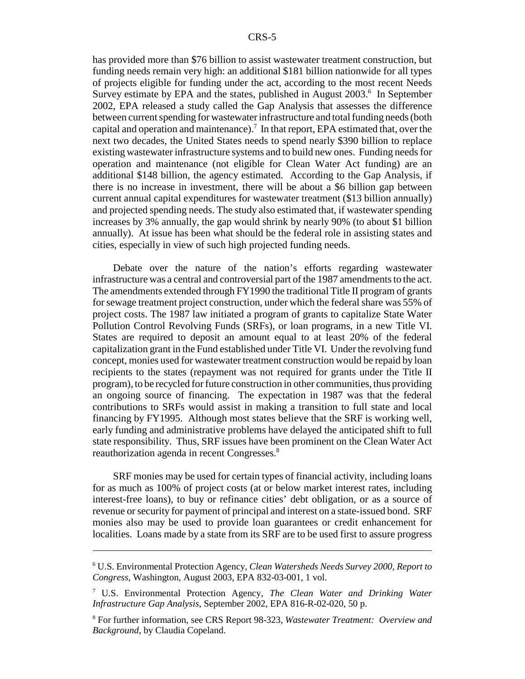has provided more than \$76 billion to assist wastewater treatment construction, but funding needs remain very high: an additional \$181 billion nationwide for all types of projects eligible for funding under the act, according to the most recent Needs Survey estimate by EPA and the states, published in August 2003.<sup>6</sup> In September 2002, EPA released a study called the Gap Analysis that assesses the difference between current spending for wastewater infrastructure and total funding needs (both capital and operation and maintenance).<sup>7</sup> In that report, EPA estimated that, over the next two decades, the United States needs to spend nearly \$390 billion to replace existing wastewater infrastructure systems and to build new ones. Funding needs for operation and maintenance (not eligible for Clean Water Act funding) are an additional \$148 billion, the agency estimated. According to the Gap Analysis, if there is no increase in investment, there will be about a \$6 billion gap between current annual capital expenditures for wastewater treatment (\$13 billion annually) and projected spending needs. The study also estimated that, if wastewater spending increases by 3% annually, the gap would shrink by nearly 90% (to about \$1 billion annually). At issue has been what should be the federal role in assisting states and cities, especially in view of such high projected funding needs.

Debate over the nature of the nation's efforts regarding wastewater infrastructure was a central and controversial part of the 1987 amendments to the act. The amendments extended through FY1990 the traditional Title II program of grants for sewage treatment project construction, under which the federal share was 55% of project costs. The 1987 law initiated a program of grants to capitalize State Water Pollution Control Revolving Funds (SRFs), or loan programs, in a new Title VI. States are required to deposit an amount equal to at least 20% of the federal capitalization grant in the Fund established under Title VI. Under the revolving fund concept, monies used for wastewater treatment construction would be repaid by loan recipients to the states (repayment was not required for grants under the Title II program), to be recycled for future construction in other communities, thus providing an ongoing source of financing. The expectation in 1987 was that the federal contributions to SRFs would assist in making a transition to full state and local financing by FY1995. Although most states believe that the SRF is working well, early funding and administrative problems have delayed the anticipated shift to full state responsibility. Thus, SRF issues have been prominent on the Clean Water Act reauthorization agenda in recent Congresses.<sup>8</sup>

SRF monies may be used for certain types of financial activity, including loans for as much as 100% of project costs (at or below market interest rates, including interest-free loans), to buy or refinance cities' debt obligation, or as a source of revenue or security for payment of principal and interest on a state-issued bond. SRF monies also may be used to provide loan guarantees or credit enhancement for localities. Loans made by a state from its SRF are to be used first to assure progress

<sup>6</sup> U.S. Environmental Protection Agency, *Clean Watersheds Needs Survey 2000, Report to Congress,* Washington, August 2003, EPA 832-03-001, 1 vol.

<sup>7</sup> U.S. Environmental Protection Agency, *The Clean Water and Drinking Water Infrastructure Gap Analysis,* September 2002, EPA 816-R-02-020, 50 p.

<sup>8</sup> For further information, see CRS Report 98-323, *Wastewater Treatment: Overview and Background*, by Claudia Copeland.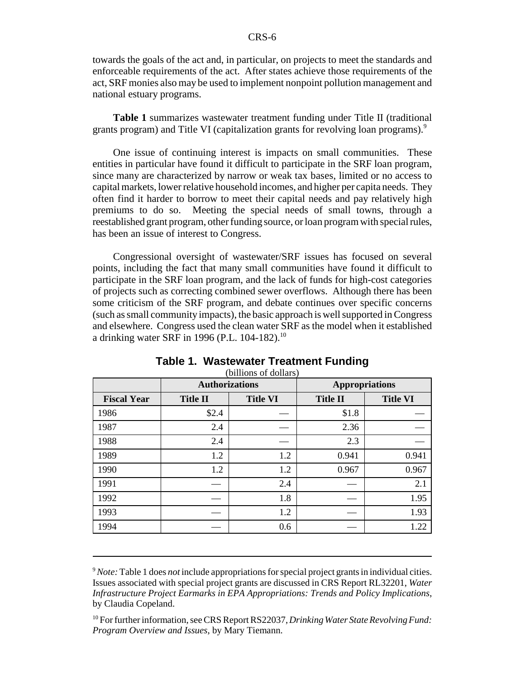towards the goals of the act and, in particular, on projects to meet the standards and enforceable requirements of the act. After states achieve those requirements of the act, SRF monies also may be used to implement nonpoint pollution management and national estuary programs.

**Table 1** summarizes wastewater treatment funding under Title II (traditional grants program) and Title VI (capitalization grants for revolving loan programs).<sup>9</sup>

One issue of continuing interest is impacts on small communities. These entities in particular have found it difficult to participate in the SRF loan program, since many are characterized by narrow or weak tax bases, limited or no access to capital markets, lower relative household incomes, and higher per capita needs. They often find it harder to borrow to meet their capital needs and pay relatively high premiums to do so. Meeting the special needs of small towns, through a reestablished grant program, other funding source, or loan program with special rules, has been an issue of interest to Congress.

Congressional oversight of wastewater/SRF issues has focused on several points, including the fact that many small communities have found it difficult to participate in the SRF loan program, and the lack of funds for high-cost categories of projects such as correcting combined sewer overflows. Although there has been some criticism of the SRF program, and debate continues over specific concerns (such as small community impacts), the basic approach is well supported in Congress and elsewhere. Congress used the clean water SRF as the model when it established a drinking water SRF in 1996 (P.L. 104-182).<sup>10</sup>

|                    | <b>Authorizations</b> |                 | <b>Appropriations</b> |                 |
|--------------------|-----------------------|-----------------|-----------------------|-----------------|
| <b>Fiscal Year</b> | <b>Title II</b>       | <b>Title VI</b> | <b>Title II</b>       | <b>Title VI</b> |
| 1986               | \$2.4                 |                 | \$1.8                 |                 |
| 1987               | 2.4                   |                 | 2.36                  |                 |
| 1988               | 2.4                   |                 | 2.3                   |                 |
| 1989               | 1.2                   | 1.2             | 0.941                 | 0.941           |
| 1990               | 1.2                   | 1.2             | 0.967                 | 0.967           |
| 1991               |                       | 2.4             |                       | 2.1             |
| 1992               |                       | 1.8             |                       | 1.95            |
| 1993               |                       | 1.2             |                       | 1.93            |
| 1994               |                       | 0.6             |                       | 1.22            |

#### **Table 1. Wastewater Treatment Funding**

(billions of dollars)

<sup>9</sup>*Note:* Table 1 does *not* include appropriations for special project grants in individual cities. Issues associated with special project grants are discussed in CRS Report RL32201, *Water Infrastructure Project Earmarks in EPA Appropriations: Trends and Policy Implications*, by Claudia Copeland.

<sup>10</sup> For further information, see CRS Report RS22037, *Drinking Water State Revolving Fund: Program Overview and Issues*, by Mary Tiemann.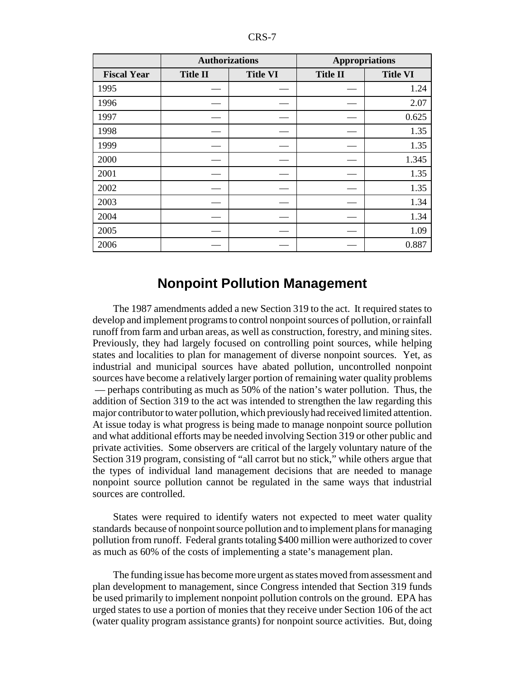|                    | <b>Authorizations</b> |                 | <b>Appropriations</b> |                 |
|--------------------|-----------------------|-----------------|-----------------------|-----------------|
| <b>Fiscal Year</b> | <b>Title II</b>       | <b>Title VI</b> | <b>Title II</b>       | <b>Title VI</b> |
| 1995               |                       |                 |                       | 1.24            |
| 1996               |                       |                 |                       | 2.07            |
| 1997               |                       |                 |                       | 0.625           |
| 1998               |                       |                 |                       | 1.35            |
| 1999               |                       |                 |                       | 1.35            |
| 2000               |                       |                 |                       | 1.345           |
| 2001               |                       |                 |                       | 1.35            |
| 2002               |                       |                 |                       | 1.35            |
| 2003               |                       |                 |                       | 1.34            |
| 2004               |                       |                 |                       | 1.34            |
| 2005               |                       |                 |                       | 1.09            |
| 2006               |                       |                 |                       | 0.887           |

#### **Nonpoint Pollution Management**

The 1987 amendments added a new Section 319 to the act. It required states to develop and implement programs to control nonpoint sources of pollution, or rainfall runoff from farm and urban areas, as well as construction, forestry, and mining sites. Previously, they had largely focused on controlling point sources, while helping states and localities to plan for management of diverse nonpoint sources. Yet, as industrial and municipal sources have abated pollution, uncontrolled nonpoint sources have become a relatively larger portion of remaining water quality problems — perhaps contributing as much as 50% of the nation's water pollution. Thus, the addition of Section 319 to the act was intended to strengthen the law regarding this major contributor to water pollution, which previously had received limited attention. At issue today is what progress is being made to manage nonpoint source pollution and what additional efforts may be needed involving Section 319 or other public and private activities. Some observers are critical of the largely voluntary nature of the Section 319 program, consisting of "all carrot but no stick," while others argue that the types of individual land management decisions that are needed to manage nonpoint source pollution cannot be regulated in the same ways that industrial sources are controlled.

States were required to identify waters not expected to meet water quality standards because of nonpoint source pollution and to implement plans for managing pollution from runoff. Federal grants totaling \$400 million were authorized to cover as much as 60% of the costs of implementing a state's management plan.

The funding issue has become more urgent as states moved from assessment and plan development to management, since Congress intended that Section 319 funds be used primarily to implement nonpoint pollution controls on the ground. EPA has urged states to use a portion of monies that they receive under Section 106 of the act (water quality program assistance grants) for nonpoint source activities. But, doing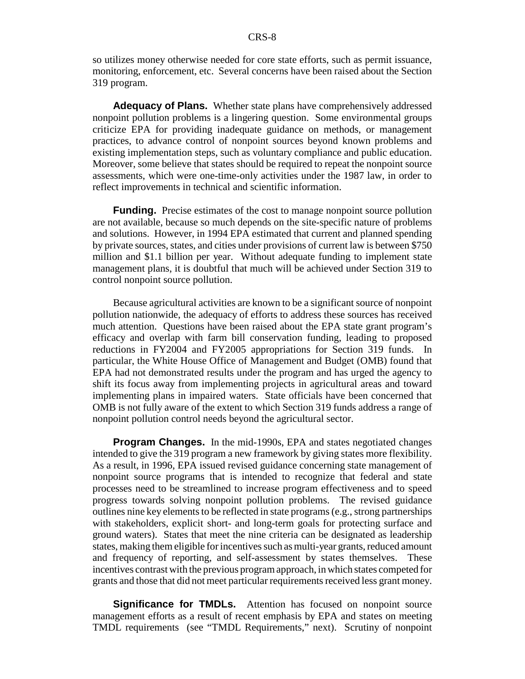so utilizes money otherwise needed for core state efforts, such as permit issuance, monitoring, enforcement, etc. Several concerns have been raised about the Section 319 program.

**Adequacy of Plans.** Whether state plans have comprehensively addressed nonpoint pollution problems is a lingering question. Some environmental groups criticize EPA for providing inadequate guidance on methods, or management practices, to advance control of nonpoint sources beyond known problems and existing implementation steps, such as voluntary compliance and public education. Moreover, some believe that states should be required to repeat the nonpoint source assessments, which were one-time-only activities under the 1987 law, in order to reflect improvements in technical and scientific information.

**Funding.** Precise estimates of the cost to manage nonpoint source pollution are not available, because so much depends on the site-specific nature of problems and solutions. However, in 1994 EPA estimated that current and planned spending by private sources, states, and cities under provisions of current law is between \$750 million and \$1.1 billion per year. Without adequate funding to implement state management plans, it is doubtful that much will be achieved under Section 319 to control nonpoint source pollution.

Because agricultural activities are known to be a significant source of nonpoint pollution nationwide, the adequacy of efforts to address these sources has received much attention. Questions have been raised about the EPA state grant program's efficacy and overlap with farm bill conservation funding, leading to proposed reductions in FY2004 and FY2005 appropriations for Section 319 funds. In particular, the White House Office of Management and Budget (OMB) found that EPA had not demonstrated results under the program and has urged the agency to shift its focus away from implementing projects in agricultural areas and toward implementing plans in impaired waters. State officials have been concerned that OMB is not fully aware of the extent to which Section 319 funds address a range of nonpoint pollution control needs beyond the agricultural sector.

**Program Changes.** In the mid-1990s, EPA and states negotiated changes intended to give the 319 program a new framework by giving states more flexibility. As a result, in 1996, EPA issued revised guidance concerning state management of nonpoint source programs that is intended to recognize that federal and state processes need to be streamlined to increase program effectiveness and to speed progress towards solving nonpoint pollution problems. The revised guidance outlines nine key elements to be reflected in state programs (e.g., strong partnerships with stakeholders, explicit short- and long-term goals for protecting surface and ground waters). States that meet the nine criteria can be designated as leadership states, making them eligible for incentives such as multi-year grants, reduced amount and frequency of reporting, and self-assessment by states themselves. These incentives contrast with the previous program approach, in which states competed for grants and those that did not meet particular requirements received less grant money.

**Significance for TMDLs.** Attention has focused on nonpoint source management efforts as a result of recent emphasis by EPA and states on meeting TMDL requirements (see "TMDL Requirements," next). Scrutiny of nonpoint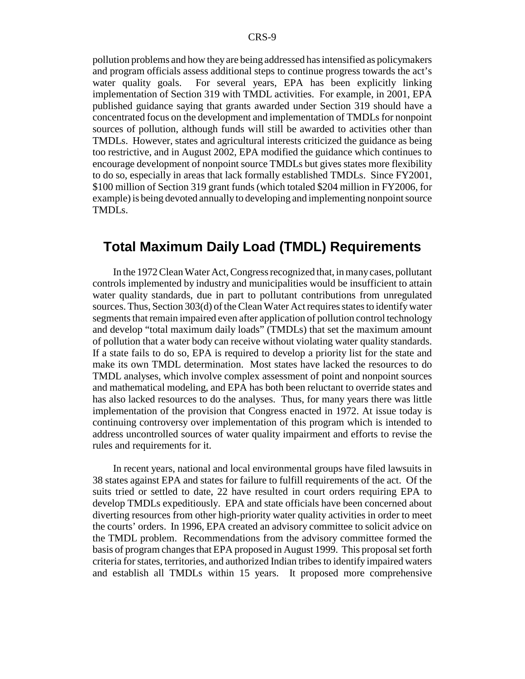pollution problems and how they are being addressed has intensified as policymakers and program officials assess additional steps to continue progress towards the act's water quality goals. For several years, EPA has been explicitly linking implementation of Section 319 with TMDL activities. For example, in 2001, EPA published guidance saying that grants awarded under Section 319 should have a concentrated focus on the development and implementation of TMDLs for nonpoint sources of pollution, although funds will still be awarded to activities other than TMDLs. However, states and agricultural interests criticized the guidance as being too restrictive, and in August 2002, EPA modified the guidance which continues to encourage development of nonpoint source TMDLs but gives states more flexibility to do so, especially in areas that lack formally established TMDLs. Since FY2001, \$100 million of Section 319 grant funds (which totaled \$204 million in FY2006, for example) is being devoted annually to developing and implementing nonpoint source TMDLs.

#### **Total Maximum Daily Load (TMDL) Requirements**

In the 1972 Clean Water Act, Congress recognized that, in many cases, pollutant controls implemented by industry and municipalities would be insufficient to attain water quality standards, due in part to pollutant contributions from unregulated sources. Thus, Section 303(d) of the Clean Water Act requires states to identify water segments that remain impaired even after application of pollution control technology and develop "total maximum daily loads" (TMDLs) that set the maximum amount of pollution that a water body can receive without violating water quality standards. If a state fails to do so, EPA is required to develop a priority list for the state and make its own TMDL determination. Most states have lacked the resources to do TMDL analyses, which involve complex assessment of point and nonpoint sources and mathematical modeling, and EPA has both been reluctant to override states and has also lacked resources to do the analyses. Thus, for many years there was little implementation of the provision that Congress enacted in 1972. At issue today is continuing controversy over implementation of this program which is intended to address uncontrolled sources of water quality impairment and efforts to revise the rules and requirements for it.

In recent years, national and local environmental groups have filed lawsuits in 38 states against EPA and states for failure to fulfill requirements of the act. Of the suits tried or settled to date, 22 have resulted in court orders requiring EPA to develop TMDLs expeditiously. EPA and state officials have been concerned about diverting resources from other high-priority water quality activities in order to meet the courts' orders. In 1996, EPA created an advisory committee to solicit advice on the TMDL problem. Recommendations from the advisory committee formed the basis of program changes that EPA proposed in August 1999. This proposal set forth criteria for states, territories, and authorized Indian tribes to identify impaired waters and establish all TMDLs within 15 years. It proposed more comprehensive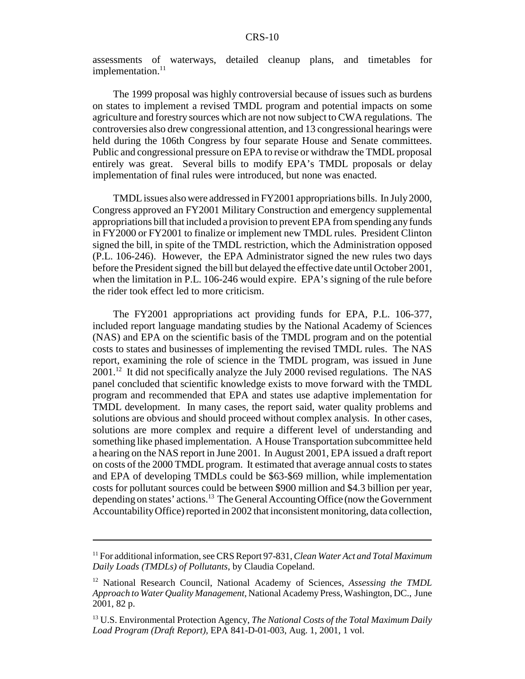assessments of waterways, detailed cleanup plans, and timetables for implementation.<sup>11</sup>

The 1999 proposal was highly controversial because of issues such as burdens on states to implement a revised TMDL program and potential impacts on some agriculture and forestry sources which are not now subject to CWA regulations. The controversies also drew congressional attention, and 13 congressional hearings were held during the 106th Congress by four separate House and Senate committees. Public and congressional pressure on EPA to revise or withdraw the TMDL proposal entirely was great. Several bills to modify EPA's TMDL proposals or delay implementation of final rules were introduced, but none was enacted.

TMDL issues also were addressed in FY2001 appropriations bills. In July 2000, Congress approved an FY2001 Military Construction and emergency supplemental appropriations bill that included a provision to prevent EPA from spending any funds in FY2000 or FY2001 to finalize or implement new TMDL rules. President Clinton signed the bill, in spite of the TMDL restriction, which the Administration opposed (P.L. 106-246). However, the EPA Administrator signed the new rules two days before the President signed the bill but delayed the effective date until October 2001, when the limitation in P.L. 106-246 would expire. EPA's signing of the rule before the rider took effect led to more criticism.

The FY2001 appropriations act providing funds for EPA, P.L. 106-377, included report language mandating studies by the National Academy of Sciences (NAS) and EPA on the scientific basis of the TMDL program and on the potential costs to states and businesses of implementing the revised TMDL rules. The NAS report, examining the role of science in the TMDL program, was issued in June  $2001<sup>12</sup>$  It did not specifically analyze the July 2000 revised regulations. The NAS panel concluded that scientific knowledge exists to move forward with the TMDL program and recommended that EPA and states use adaptive implementation for TMDL development. In many cases, the report said, water quality problems and solutions are obvious and should proceed without complex analysis. In other cases, solutions are more complex and require a different level of understanding and something like phased implementation. A House Transportation subcommittee held a hearing on the NAS report in June 2001. In August 2001, EPA issued a draft report on costs of the 2000 TMDL program. It estimated that average annual costs to states and EPA of developing TMDLs could be \$63-\$69 million, while implementation costs for pollutant sources could be between \$900 million and \$4.3 billion per year, depending on states' actions.<sup>13</sup> The General Accounting Office (now the Government Accountability Office) reported in 2002 that inconsistent monitoring, data collection,

<sup>11</sup> For additional information, see CRS Report 97-831, *Clean Water Act and Total Maximum Daily Loads (TMDLs) of Pollutants*, by Claudia Copeland.

<sup>12</sup> National Research Council, National Academy of Sciences, *Assessing the TMDL Approach to Water Quality Management,* National Academy Press, Washington, DC., June 2001, 82 p.

<sup>13</sup> U.S. Environmental Protection Agency, *The National Costs of the Total Maximum Daily Load Program (Draft Report),* EPA 841-D-01-003, Aug. 1, 2001, 1 vol.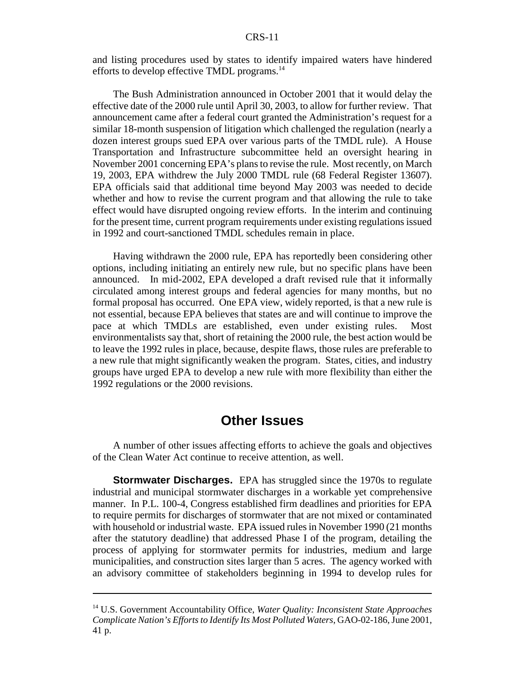and listing procedures used by states to identify impaired waters have hindered efforts to develop effective TMDL programs.<sup>14</sup>

The Bush Administration announced in October 2001 that it would delay the effective date of the 2000 rule until April 30, 2003, to allow for further review. That announcement came after a federal court granted the Administration's request for a similar 18-month suspension of litigation which challenged the regulation (nearly a dozen interest groups sued EPA over various parts of the TMDL rule). A House Transportation and Infrastructure subcommittee held an oversight hearing in November 2001 concerning EPA's plans to revise the rule. Most recently, on March 19, 2003, EPA withdrew the July 2000 TMDL rule (68 Federal Register 13607). EPA officials said that additional time beyond May 2003 was needed to decide whether and how to revise the current program and that allowing the rule to take effect would have disrupted ongoing review efforts. In the interim and continuing for the present time, current program requirements under existing regulations issued in 1992 and court-sanctioned TMDL schedules remain in place.

Having withdrawn the 2000 rule, EPA has reportedly been considering other options, including initiating an entirely new rule, but no specific plans have been announced. In mid-2002, EPA developed a draft revised rule that it informally circulated among interest groups and federal agencies for many months, but no formal proposal has occurred. One EPA view, widely reported, is that a new rule is not essential, because EPA believes that states are and will continue to improve the pace at which TMDLs are established, even under existing rules. Most environmentalists say that, short of retaining the 2000 rule, the best action would be to leave the 1992 rules in place, because, despite flaws, those rules are preferable to a new rule that might significantly weaken the program. States, cities, and industry groups have urged EPA to develop a new rule with more flexibility than either the 1992 regulations or the 2000 revisions.

#### **Other Issues**

A number of other issues affecting efforts to achieve the goals and objectives of the Clean Water Act continue to receive attention, as well.

**Stormwater Discharges.** EPA has struggled since the 1970s to regulate industrial and municipal stormwater discharges in a workable yet comprehensive manner. In P.L. 100-4, Congress established firm deadlines and priorities for EPA to require permits for discharges of stormwater that are not mixed or contaminated with household or industrial waste. EPA issued rules in November 1990 (21 months after the statutory deadline) that addressed Phase I of the program, detailing the process of applying for stormwater permits for industries, medium and large municipalities, and construction sites larger than 5 acres. The agency worked with an advisory committee of stakeholders beginning in 1994 to develop rules for

<sup>14</sup> U.S. Government Accountability Office, *Water Quality: Inconsistent State Approaches Complicate Nation's Efforts to Identify Its Most Polluted Waters*, GAO-02-186, June 2001, 41 p.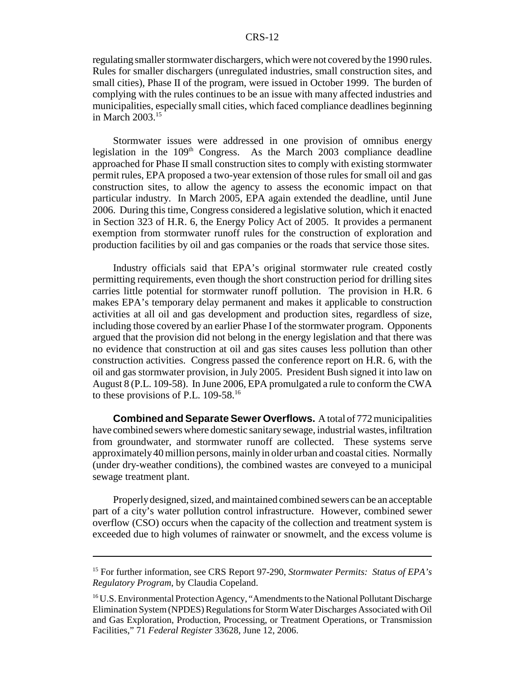#### CRS-12

regulating smaller stormwater dischargers, which were not covered by the 1990 rules. Rules for smaller dischargers (unregulated industries, small construction sites, and small cities), Phase II of the program, were issued in October 1999. The burden of complying with the rules continues to be an issue with many affected industries and municipalities, especially small cities, which faced compliance deadlines beginning in March 2003.15

Stormwater issues were addressed in one provision of omnibus energy legislation in the  $109<sup>th</sup>$  Congress. As the March 2003 compliance deadline approached for Phase II small construction sites to comply with existing stormwater permit rules, EPA proposed a two-year extension of those rules for small oil and gas construction sites, to allow the agency to assess the economic impact on that particular industry. In March 2005, EPA again extended the deadline, until June 2006. During this time, Congress considered a legislative solution, which it enacted in Section 323 of H.R. 6, the Energy Policy Act of 2005. It provides a permanent exemption from stormwater runoff rules for the construction of exploration and production facilities by oil and gas companies or the roads that service those sites.

Industry officials said that EPA's original stormwater rule created costly permitting requirements, even though the short construction period for drilling sites carries little potential for stormwater runoff pollution. The provision in H.R. 6 makes EPA's temporary delay permanent and makes it applicable to construction activities at all oil and gas development and production sites, regardless of size, including those covered by an earlier Phase I of the stormwater program. Opponents argued that the provision did not belong in the energy legislation and that there was no evidence that construction at oil and gas sites causes less pollution than other construction activities. Congress passed the conference report on H.R. 6, with the oil and gas stormwater provision, in July 2005. President Bush signed it into law on August 8 (P.L. 109-58). In June 2006, EPA promulgated a rule to conform the CWA to these provisions of P.L. 109-58.<sup>16</sup>

**Combined and Separate Sewer Overflows.** A total of 772 municipalities have combined sewers where domestic sanitary sewage, industrial wastes, infiltration from groundwater, and stormwater runoff are collected. These systems serve approximately 40 million persons, mainly in older urban and coastal cities. Normally (under dry-weather conditions), the combined wastes are conveyed to a municipal sewage treatment plant.

Properly designed, sized, and maintained combined sewers can be an acceptable part of a city's water pollution control infrastructure. However, combined sewer overflow (CSO) occurs when the capacity of the collection and treatment system is exceeded due to high volumes of rainwater or snowmelt, and the excess volume is

<sup>15</sup> For further information, see CRS Report 97-290, *Stormwater Permits: Status of EPA's Regulatory Program*, by Claudia Copeland.

<sup>&</sup>lt;sup>16</sup> U.S. Environmental Protection Agency, "Amendments to the National Pollutant Discharge Elimination System (NPDES) Regulations for Storm Water Discharges Associated with Oil and Gas Exploration, Production, Processing, or Treatment Operations, or Transmission Facilities," 71 *Federal Register* 33628, June 12, 2006.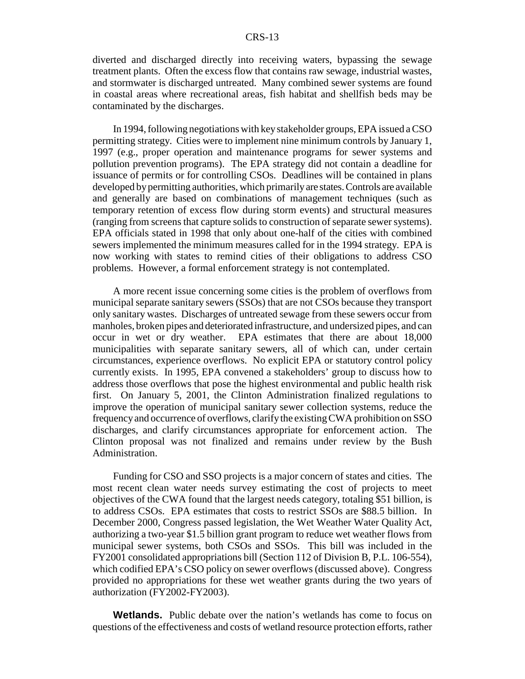diverted and discharged directly into receiving waters, bypassing the sewage treatment plants. Often the excess flow that contains raw sewage, industrial wastes, and stormwater is discharged untreated. Many combined sewer systems are found in coastal areas where recreational areas, fish habitat and shellfish beds may be contaminated by the discharges.

In 1994, following negotiations with key stakeholder groups, EPA issued a CSO permitting strategy. Cities were to implement nine minimum controls by January 1, 1997 (e.g., proper operation and maintenance programs for sewer systems and pollution prevention programs). The EPA strategy did not contain a deadline for issuance of permits or for controlling CSOs. Deadlines will be contained in plans developed by permitting authorities, which primarily are states. Controls are available and generally are based on combinations of management techniques (such as temporary retention of excess flow during storm events) and structural measures (ranging from screens that capture solids to construction of separate sewer systems). EPA officials stated in 1998 that only about one-half of the cities with combined sewers implemented the minimum measures called for in the 1994 strategy. EPA is now working with states to remind cities of their obligations to address CSO problems. However, a formal enforcement strategy is not contemplated.

A more recent issue concerning some cities is the problem of overflows from municipal separate sanitary sewers (SSOs) that are not CSOs because they transport only sanitary wastes. Discharges of untreated sewage from these sewers occur from manholes, broken pipes and deteriorated infrastructure, and undersized pipes, and can occur in wet or dry weather. EPA estimates that there are about 18,000 municipalities with separate sanitary sewers, all of which can, under certain circumstances, experience overflows. No explicit EPA or statutory control policy currently exists. In 1995, EPA convened a stakeholders' group to discuss how to address those overflows that pose the highest environmental and public health risk first. On January 5, 2001, the Clinton Administration finalized regulations to improve the operation of municipal sanitary sewer collection systems, reduce the frequency and occurrence of overflows, clarify the existing CWA prohibition on SSO discharges, and clarify circumstances appropriate for enforcement action. The Clinton proposal was not finalized and remains under review by the Bush Administration.

Funding for CSO and SSO projects is a major concern of states and cities. The most recent clean water needs survey estimating the cost of projects to meet objectives of the CWA found that the largest needs category, totaling \$51 billion, is to address CSOs. EPA estimates that costs to restrict SSOs are \$88.5 billion. In December 2000, Congress passed legislation, the Wet Weather Water Quality Act, authorizing a two-year \$1.5 billion grant program to reduce wet weather flows from municipal sewer systems, both CSOs and SSOs. This bill was included in the FY2001 consolidated appropriations bill (Section 112 of Division B, P.L. 106-554), which codified EPA's CSO policy on sewer overflows (discussed above). Congress provided no appropriations for these wet weather grants during the two years of authorization (FY2002-FY2003).

**Wetlands.** Public debate over the nation's wetlands has come to focus on questions of the effectiveness and costs of wetland resource protection efforts, rather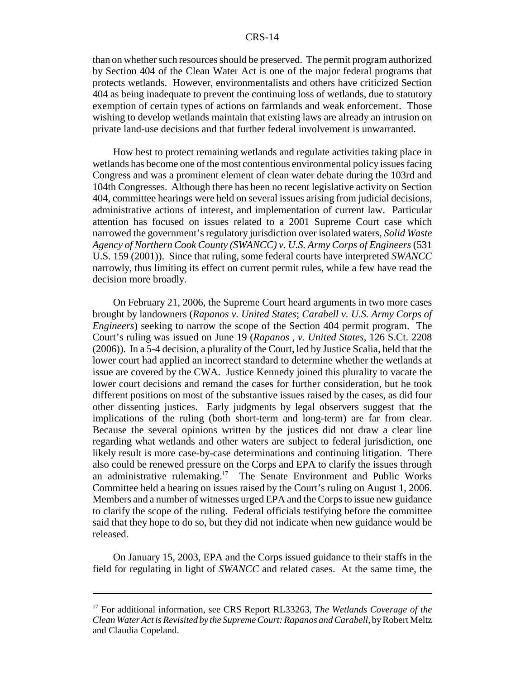#### CRS-14

than on whether such resources should be preserved. The permit program authorized by Section 404 of the Clean Water Act is one of the major federal programs that protects wetlands. However, environmentalists and others have criticized Section 404 as being inadequate to prevent the continuing loss of wetlands, due to statutory exemption of certain types of actions on farmlands and weak enforcement. Those wishing to develop wetlands maintain that existing laws are already an intrusion on private land-use decisions and that further federal involvement is unwarranted.

How best to protect remaining wetlands and regulate activities taking place in wetlands has become one of the most contentious environmental policy issues facing Congress and was a prominent element of clean water debate during the 103rd and 104th Congresses. Although there has been no recent legislative activity on Section 404, committee hearings were held on several issues arising from judicial decisions, administrative actions of interest, and implementation of current law. Particular attention has focused on issues related to a 2001 Supreme Court case which narrowed the government's regulatory jurisdiction over isolated waters, *Solid Waste Agency of Northern Cook County (SWANCC) v. U.S. Army Corps of Engineers* (531 U.S. 159 (2001)). Since that ruling, some federal courts have interpreted *SWANCC* narrowly, thus limiting its effect on current permit rules, while a few have read the decision more broadly.

On February 21, 2006, the Supreme Court heard arguments in two more cases brought by landowners (*Rapanos v. United States*; *Carabell v. U.S. Army Corps of Engineers*) seeking to narrow the scope of the Section 404 permit program. The Court's ruling was issued on June 19 (*Rapanos , v. United States*, 126 S.Ct. 2208 (2006)). In a 5-4 decision, a plurality of the Court, led by Justice Scalia, held that the lower court had applied an incorrect standard to determine whether the wetlands at issue are covered by the CWA. Justice Kennedy joined this plurality to vacate the lower court decisions and remand the cases for further consideration, but he took different positions on most of the substantive issues raised by the cases, as did four other dissenting justices. Early judgments by legal observers suggest that the implications of the ruling (both short-term and long-term) are far from clear. Because the several opinions written by the justices did not draw a clear line regarding what wetlands and other waters are subject to federal jurisdiction, one likely result is more case-by-case determinations and continuing litigation. There also could be renewed pressure on the Corps and EPA to clarify the issues through an administrative rulemaking.17 The Senate Environment and Public Works Committee held a hearing on issues raised by the Court's ruling on August 1, 2006. Members and a number of witnesses urged EPA and the Corps to issue new guidance to clarify the scope of the ruling. Federal officials testifying before the committee said that they hope to do so, but they did not indicate when new guidance would be released.

On January 15, 2003, EPA and the Corps issued guidance to their staffs in the field for regulating in light of *SWANCC* and related cases. At the same time, the

<sup>&</sup>lt;sup>17</sup> For additional information, see CRS Report RL33263, *The Wetlands Coverage of the Clean Water Act is Revisited by the Supreme Court: Rapanos and Carabell,* by Robert Meltz and Claudia Copeland.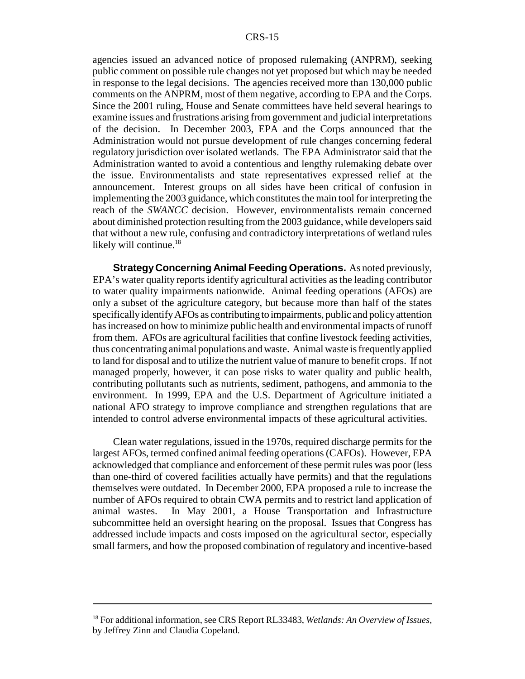agencies issued an advanced notice of proposed rulemaking (ANPRM), seeking public comment on possible rule changes not yet proposed but which may be needed in response to the legal decisions. The agencies received more than 130,000 public comments on the ANPRM, most of them negative, according to EPA and the Corps. Since the 2001 ruling, House and Senate committees have held several hearings to examine issues and frustrations arising from government and judicial interpretations of the decision. In December 2003, EPA and the Corps announced that the Administration would not pursue development of rule changes concerning federal regulatory jurisdiction over isolated wetlands. The EPA Administrator said that the Administration wanted to avoid a contentious and lengthy rulemaking debate over the issue. Environmentalists and state representatives expressed relief at the announcement. Interest groups on all sides have been critical of confusion in implementing the 2003 guidance, which constitutes the main tool for interpreting the reach of the *SWANCC* decision. However, environmentalists remain concerned about diminished protection resulting from the 2003 guidance, while developers said that without a new rule, confusing and contradictory interpretations of wetland rules likely will continue.<sup>18</sup>

**Strategy Concerning Animal Feeding Operations.** As noted previously, EPA's water quality reports identify agricultural activities as the leading contributor to water quality impairments nationwide. Animal feeding operations (AFOs) are only a subset of the agriculture category, but because more than half of the states specifically identify AFOs as contributing to impairments, public and policy attention has increased on how to minimize public health and environmental impacts of runoff from them. AFOs are agricultural facilities that confine livestock feeding activities, thus concentrating animal populations and waste. Animal waste is frequently applied to land for disposal and to utilize the nutrient value of manure to benefit crops. If not managed properly, however, it can pose risks to water quality and public health, contributing pollutants such as nutrients, sediment, pathogens, and ammonia to the environment. In 1999, EPA and the U.S. Department of Agriculture initiated a national AFO strategy to improve compliance and strengthen regulations that are intended to control adverse environmental impacts of these agricultural activities.

Clean water regulations, issued in the 1970s, required discharge permits for the largest AFOs, termed confined animal feeding operations (CAFOs). However, EPA acknowledged that compliance and enforcement of these permit rules was poor (less than one-third of covered facilities actually have permits) and that the regulations themselves were outdated. In December 2000, EPA proposed a rule to increase the number of AFOs required to obtain CWA permits and to restrict land application of animal wastes. In May 2001, a House Transportation and Infrastructure subcommittee held an oversight hearing on the proposal. Issues that Congress has addressed include impacts and costs imposed on the agricultural sector, especially small farmers, and how the proposed combination of regulatory and incentive-based

<sup>18</sup> For additional information, see CRS Report RL33483, *Wetlands: An Overview of Issues*, by Jeffrey Zinn and Claudia Copeland.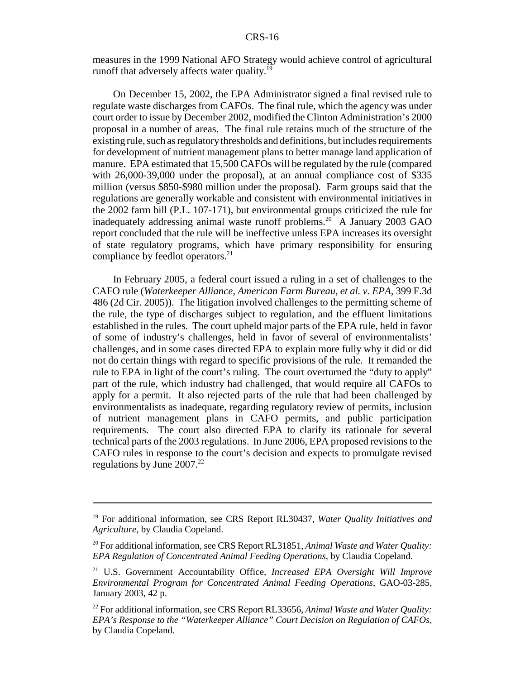measures in the 1999 National AFO Strategy would achieve control of agricultural runoff that adversely affects water quality.<sup>19</sup>

On December 15, 2002, the EPA Administrator signed a final revised rule to regulate waste discharges from CAFOs. The final rule, which the agency was under court order to issue by December 2002, modified the Clinton Administration's 2000 proposal in a number of areas. The final rule retains much of the structure of the existing rule, such as regulatory thresholds and definitions, but includes requirements for development of nutrient management plans to better manage land application of manure. EPA estimated that 15,500 CAFOs will be regulated by the rule (compared with 26,000-39,000 under the proposal), at an annual compliance cost of \$335 million (versus \$850-\$980 million under the proposal). Farm groups said that the regulations are generally workable and consistent with environmental initiatives in the 2002 farm bill (P.L. 107-171), but environmental groups criticized the rule for inadequately addressing animal waste runoff problems.<sup>20</sup> A January 2003 GAO report concluded that the rule will be ineffective unless EPA increases its oversight of state regulatory programs, which have primary responsibility for ensuring compliance by feedlot operators.<sup>21</sup>

In February 2005, a federal court issued a ruling in a set of challenges to the CAFO rule (*Waterkeeper Alliance, American Farm Bureau, et al. v. EPA*, 399 F.3d 486 (2d Cir. 2005)). The litigation involved challenges to the permitting scheme of the rule, the type of discharges subject to regulation, and the effluent limitations established in the rules. The court upheld major parts of the EPA rule, held in favor of some of industry's challenges, held in favor of several of environmentalists' challenges, and in some cases directed EPA to explain more fully why it did or did not do certain things with regard to specific provisions of the rule. It remanded the rule to EPA in light of the court's ruling. The court overturned the "duty to apply" part of the rule, which industry had challenged, that would require all CAFOs to apply for a permit. It also rejected parts of the rule that had been challenged by environmentalists as inadequate, regarding regulatory review of permits, inclusion of nutrient management plans in CAFO permits, and public participation requirements. The court also directed EPA to clarify its rationale for several technical parts of the 2003 regulations. In June 2006, EPA proposed revisions to the CAFO rules in response to the court's decision and expects to promulgate revised regulations by June  $2007.<sup>22</sup>$ 

<sup>19</sup> For additional information, see CRS Report RL30437, *Water Quality Initiatives and Agriculture*, by Claudia Copeland.

<sup>20</sup> For additional information, see CRS Report RL31851, *Animal Waste and Water Quality: EPA Regulation of Concentrated Animal Feeding Operations*, by Claudia Copeland.

<sup>21</sup> U.S. Government Accountability Office, *Increased EPA Oversight Will Improve Environmental Program for Concentrated Animal Feeding Operations*, GAO-03-285, January 2003, 42 p.

<sup>&</sup>lt;sup>22</sup> For additional information, see CRS Report RL33656, *Animal Waste and Water Quality: EPA's Response to the "Waterkeeper Alliance" Court Decision on Regulation of CAFOs,* by Claudia Copeland.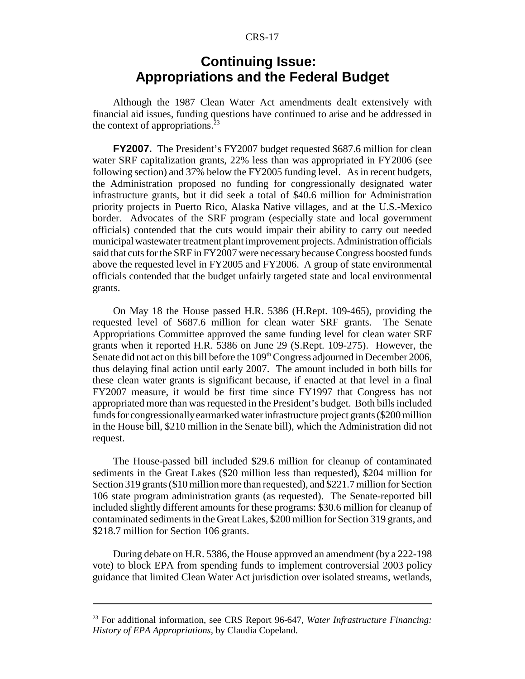#### CRS-17

#### **Continuing Issue: Appropriations and the Federal Budget**

Although the 1987 Clean Water Act amendments dealt extensively with financial aid issues, funding questions have continued to arise and be addressed in the context of appropriations. $^{23}$ 

**FY2007.** The President's FY2007 budget requested \$687.6 million for clean water SRF capitalization grants, 22% less than was appropriated in FY2006 (see following section) and 37% below the FY2005 funding level. As in recent budgets, the Administration proposed no funding for congressionally designated water infrastructure grants, but it did seek a total of \$40.6 million for Administration priority projects in Puerto Rico, Alaska Native villages, and at the U.S.-Mexico border. Advocates of the SRF program (especially state and local government officials) contended that the cuts would impair their ability to carry out needed municipal wastewater treatment plant improvement projects. Administration officials said that cuts for the SRF in FY2007 were necessary because Congress boosted funds above the requested level in FY2005 and FY2006. A group of state environmental officials contended that the budget unfairly targeted state and local environmental grants.

On May 18 the House passed H.R. 5386 (H.Rept. 109-465), providing the requested level of \$687.6 million for clean water SRF grants. The Senate Appropriations Committee approved the same funding level for clean water SRF grants when it reported H.R. 5386 on June 29 (S.Rept. 109-275). However, the Senate did not act on this bill before the 109<sup>th</sup> Congress adjourned in December 2006, thus delaying final action until early 2007. The amount included in both bills for these clean water grants is significant because, if enacted at that level in a final FY2007 measure, it would be first time since FY1997 that Congress has not appropriated more than was requested in the President's budget. Both bills included funds for congressionally earmarked water infrastructure project grants (\$200 million in the House bill, \$210 million in the Senate bill), which the Administration did not request.

The House-passed bill included \$29.6 million for cleanup of contaminated sediments in the Great Lakes (\$20 million less than requested), \$204 million for Section 319 grants (\$10 million more than requested), and \$221.7 million for Section 106 state program administration grants (as requested). The Senate-reported bill included slightly different amounts for these programs: \$30.6 million for cleanup of contaminated sediments in the Great Lakes, \$200 million for Section 319 grants, and \$218.7 million for Section 106 grants.

During debate on H.R. 5386, the House approved an amendment (by a 222-198 vote) to block EPA from spending funds to implement controversial 2003 policy guidance that limited Clean Water Act jurisdiction over isolated streams, wetlands,

<sup>23</sup> For additional information, see CRS Report 96-647, *Water Infrastructure Financing: History of EPA Appropriations,* by Claudia Copeland.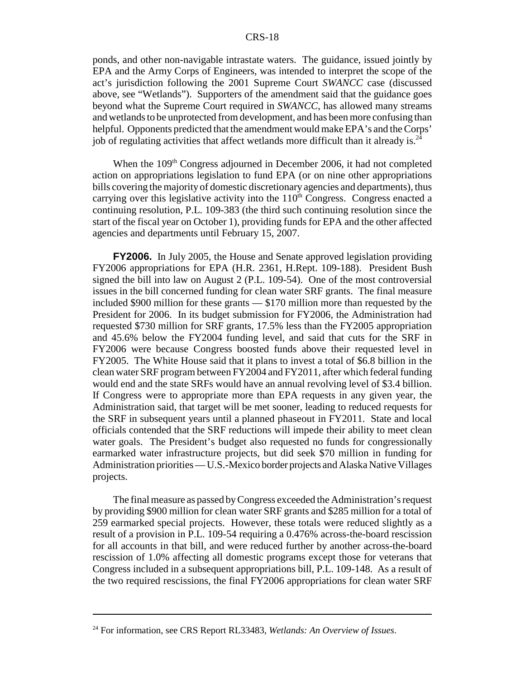ponds, and other non-navigable intrastate waters. The guidance, issued jointly by EPA and the Army Corps of Engineers, was intended to interpret the scope of the act's jurisdiction following the 2001 Supreme Court *SWANCC* case (discussed above, see "Wetlands"). Supporters of the amendment said that the guidance goes beyond what the Supreme Court required in *SWANCC*, has allowed many streams and wetlands to be unprotected from development, and has been more confusing than helpful. Opponents predicted that the amendment would make EPA's and the Corps' job of regulating activities that affect wetlands more difficult than it already is.<sup>24</sup>

When the 109<sup>th</sup> Congress adjourned in December 2006, it had not completed action on appropriations legislation to fund EPA (or on nine other appropriations bills covering the majority of domestic discretionary agencies and departments), thus carrying over this legislative activity into the  $110<sup>th</sup>$  Congress. Congress enacted a continuing resolution, P.L. 109-383 (the third such continuing resolution since the start of the fiscal year on October 1), providing funds for EPA and the other affected agencies and departments until February 15, 2007.

**FY2006.** In July 2005, the House and Senate approved legislation providing FY2006 appropriations for EPA (H.R. 2361, H.Rept. 109-188). President Bush signed the bill into law on August 2 (P.L. 109-54). One of the most controversial issues in the bill concerned funding for clean water SRF grants. The final measure included \$900 million for these grants — \$170 million more than requested by the President for 2006. In its budget submission for FY2006, the Administration had requested \$730 million for SRF grants, 17.5% less than the FY2005 appropriation and 45.6% below the FY2004 funding level, and said that cuts for the SRF in FY2006 were because Congress boosted funds above their requested level in FY2005. The White House said that it plans to invest a total of \$6.8 billion in the clean water SRF program between FY2004 and FY2011, after which federal funding would end and the state SRFs would have an annual revolving level of \$3.4 billion. If Congress were to appropriate more than EPA requests in any given year, the Administration said, that target will be met sooner, leading to reduced requests for the SRF in subsequent years until a planned phaseout in FY2011. State and local officials contended that the SRF reductions will impede their ability to meet clean water goals. The President's budget also requested no funds for congressionally earmarked water infrastructure projects, but did seek \$70 million in funding for Administration priorities — U.S.-Mexico border projects and Alaska Native Villages projects.

The final measure as passed by Congress exceeded the Administration's request by providing \$900 million for clean water SRF grants and \$285 million for a total of 259 earmarked special projects. However, these totals were reduced slightly as a result of a provision in P.L. 109-54 requiring a 0.476% across-the-board rescission for all accounts in that bill, and were reduced further by another across-the-board rescission of 1.0% affecting all domestic programs except those for veterans that Congress included in a subsequent appropriations bill, P.L. 109-148. As a result of the two required rescissions, the final FY2006 appropriations for clean water SRF

<sup>24</sup> For information, see CRS Report RL33483, *Wetlands: An Overview of Issues*.